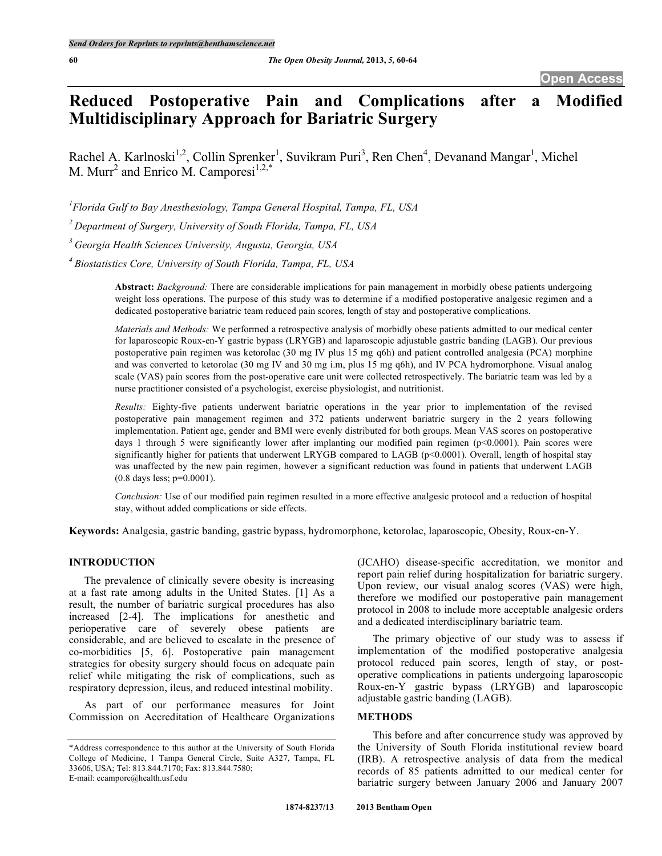# **Reduced Postoperative Pain and Complications after a Modified Multidisciplinary Approach for Bariatric Surgery**

Rachel A. Karlnoski<sup>1,2</sup>, Collin Sprenker<sup>1</sup>, Suvikram Puri<sup>3</sup>, Ren Chen<sup>4</sup>, Devanand Mangar<sup>1</sup>, Michel M. Murr<sup>2</sup> and Enrico M. Camporesi<sup>1,2,\*</sup>

*1 Florida Gulf to Bay Anesthesiology, Tampa General Hospital, Tampa, FL, USA*

*<sup>2</sup> Department of Surgery, University of South Florida, Tampa, FL, USA*

*<sup>3</sup> Georgia Health Sciences University, Augusta, Georgia, USA*

*<sup>4</sup> Biostatistics Core, University of South Florida, Tampa, FL, USA*

**Abstract:** *Background:* There are considerable implications for pain management in morbidly obese patients undergoing weight loss operations. The purpose of this study was to determine if a modified postoperative analgesic regimen and a dedicated postoperative bariatric team reduced pain scores, length of stay and postoperative complications.

*Materials and Methods:* We performed a retrospective analysis of morbidly obese patients admitted to our medical center for laparoscopic Roux-en-Y gastric bypass (LRYGB) and laparoscopic adjustable gastric banding (LAGB). Our previous postoperative pain regimen was ketorolac (30 mg IV plus 15 mg q6h) and patient controlled analgesia (PCA) morphine and was converted to ketorolac (30 mg IV and 30 mg i.m, plus 15 mg q6h), and IV PCA hydromorphone. Visual analog scale (VAS) pain scores from the post-operative care unit were collected retrospectively. The bariatric team was led by a nurse practitioner consisted of a psychologist, exercise physiologist, and nutritionist.

*Results:* Eighty-five patients underwent bariatric operations in the year prior to implementation of the revised postoperative pain management regimen and 372 patients underwent bariatric surgery in the 2 years following implementation. Patient age, gender and BMI were evenly distributed for both groups. Mean VAS scores on postoperative days 1 through 5 were significantly lower after implanting our modified pain regimen (p<0.0001). Pain scores were significantly higher for patients that underwent LRYGB compared to LAGB (p<0.0001). Overall, length of hospital stay was unaffected by the new pain regimen, however a significant reduction was found in patients that underwent LAGB (0.8 days less; p=0.0001).

*Conclusion:* Use of our modified pain regimen resulted in a more effective analgesic protocol and a reduction of hospital stay, without added complications or side effects.

**Keywords:** Analgesia, gastric banding, gastric bypass, hydromorphone, ketorolac, laparoscopic, Obesity, Roux-en-Y.

#### **INTRODUCTION**

The prevalence of clinically severe obesity is increasing at a fast rate among adults in the United States. [1] As a result, the number of bariatric surgical procedures has also increased [2-4]. The implications for anesthetic and perioperative care of severely obese patients are considerable, and are believed to escalate in the presence of co-morbidities [5, 6]. Postoperative pain management strategies for obesity surgery should focus on adequate pain relief while mitigating the risk of complications, such as respiratory depression, ileus, and reduced intestinal mobility.

As part of our performance measures for Joint Commission on Accreditation of Healthcare Organizations

(JCAHO) disease-specific accreditation, we monitor and report pain relief during hospitalization for bariatric surgery. Upon review, our visual analog scores (VAS) were high, therefore we modified our postoperative pain management protocol in 2008 to include more acceptable analgesic orders and a dedicated interdisciplinary bariatric team.

The primary objective of our study was to assess if implementation of the modified postoperative analgesia protocol reduced pain scores, length of stay, or postoperative complications in patients undergoing laparoscopic Roux-en-Y gastric bypass (LRYGB) and laparoscopic adjustable gastric banding (LAGB).

#### **METHODS**

This before and after concurrence study was approved by the University of South Florida institutional review board (IRB). A retrospective analysis of data from the medical records of 85 patients admitted to our medical center for bariatric surgery between January 2006 and January 2007

<sup>\*</sup>Address correspondence to this author at the University of South Florida College of Medicine, 1 Tampa General Circle, Suite A327, Tampa, FL 33606, USA; Tel: 813.844.7170; Fax: 813.844.7580; E-mail: ecampore@health.usf.edu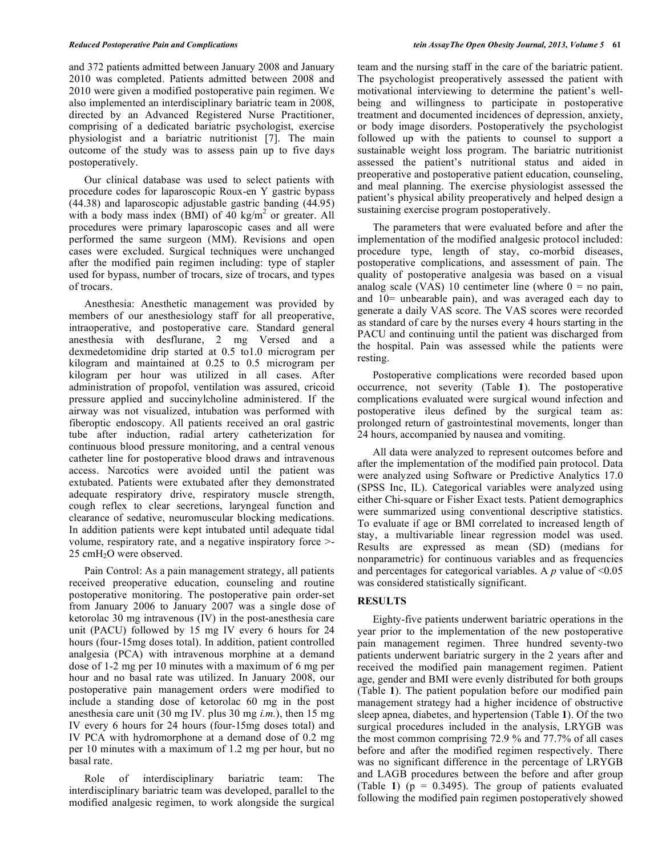and 372 patients admitted between January 2008 and January 2010 was completed. Patients admitted between 2008 and 2010 were given a modified postoperative pain regimen. We also implemented an interdisciplinary bariatric team in 2008, directed by an Advanced Registered Nurse Practitioner, comprising of a dedicated bariatric psychologist, exercise physiologist and a bariatric nutritionist [7]. The main outcome of the study was to assess pain up to five days postoperatively.

Our clinical database was used to select patients with procedure codes for laparoscopic Roux-en Y gastric bypass (44.38) and laparoscopic adjustable gastric banding (44.95) with a body mass index (BMI) of 40 kg/m<sup>2</sup> or greater. All procedures were primary laparoscopic cases and all were performed the same surgeon (MM). Revisions and open cases were excluded. Surgical techniques were unchanged after the modified pain regimen including: type of stapler used for bypass, number of trocars, size of trocars, and types of trocars.

Anesthesia: Anesthetic management was provided by members of our anesthesiology staff for all preoperative, intraoperative, and postoperative care. Standard general anesthesia with desflurane, 2 mg Versed and a dexmedetomidine drip started at 0.5 to1.0 microgram per kilogram and maintained at 0.25 to 0.5 microgram per kilogram per hour was utilized in all cases. After administration of propofol, ventilation was assured, cricoid pressure applied and succinylcholine administered. If the airway was not visualized, intubation was performed with fiberoptic endoscopy. All patients received an oral gastric tube after induction, radial artery catheterization for continuous blood pressure monitoring, and a central venous catheter line for postoperative blood draws and intravenous access. Narcotics were avoided until the patient was extubated. Patients were extubated after they demonstrated adequate respiratory drive, respiratory muscle strength, cough reflex to clear secretions, laryngeal function and clearance of sedative, neuromuscular blocking medications. In addition patients were kept intubated until adequate tidal volume, respiratory rate, and a negative inspiratory force >- 25 cmH<sub>2</sub>O were observed.

Pain Control: As a pain management strategy, all patients received preoperative education, counseling and routine postoperative monitoring. The postoperative pain order-set from January 2006 to January 2007 was a single dose of ketorolac 30 mg intravenous (IV) in the post-anesthesia care unit (PACU) followed by 15 mg IV every 6 hours for 24 hours (four-15mg doses total). In addition, patient controlled analgesia (PCA) with intravenous morphine at a demand dose of 1-2 mg per 10 minutes with a maximum of 6 mg per hour and no basal rate was utilized. In January 2008, our postoperative pain management orders were modified to include a standing dose of ketorolac 60 mg in the post anesthesia care unit (30 mg IV*.* plus 30 mg *i.m.*), then 15 mg IV every 6 hours for 24 hours (four-15mg doses total) and IV PCA with hydromorphone at a demand dose of 0.2 mg per 10 minutes with a maximum of 1.2 mg per hour, but no basal rate.

Role of interdisciplinary bariatric team: The interdisciplinary bariatric team was developed, parallel to the modified analgesic regimen, to work alongside the surgical team and the nursing staff in the care of the bariatric patient. The psychologist preoperatively assessed the patient with motivational interviewing to determine the patient's wellbeing and willingness to participate in postoperative treatment and documented incidences of depression, anxiety, or body image disorders. Postoperatively the psychologist followed up with the patients to counsel to support a sustainable weight loss program. The bariatric nutritionist assessed the patient's nutritional status and aided in preoperative and postoperative patient education, counseling, and meal planning. The exercise physiologist assessed the patient's physical ability preoperatively and helped design a sustaining exercise program postoperatively.

The parameters that were evaluated before and after the implementation of the modified analgesic protocol included: procedure type, length of stay, co-morbid diseases, postoperative complications, and assessment of pain. The quality of postoperative analgesia was based on a visual analog scale (VAS) 10 centimeter line (where  $0 =$  no pain, and 10= unbearable pain), and was averaged each day to generate a daily VAS score. The VAS scores were recorded as standard of care by the nurses every 4 hours starting in the PACU and continuing until the patient was discharged from the hospital. Pain was assessed while the patients were resting.

Postoperative complications were recorded based upon occurrence, not severity (Table **1**). The postoperative complications evaluated were surgical wound infection and postoperative ileus defined by the surgical team as: prolonged return of gastrointestinal movements, longer than 24 hours, accompanied by nausea and vomiting.

All data were analyzed to represent outcomes before and after the implementation of the modified pain protocol. Data were analyzed using Software or Predictive Analytics 17.0 (SPSS Inc, IL). Categorical variables were analyzed using either Chi-square or Fisher Exact tests. Patient demographics were summarized using conventional descriptive statistics. To evaluate if age or BMI correlated to increased length of stay, a multivariable linear regression model was used. Results are expressed as mean (SD) (medians for nonparametric) for continuous variables and as frequencies and percentages for categorical variables. A  $p$  value of  $\leq 0.05$ was considered statistically significant.

#### **RESULTS**

Eighty-five patients underwent bariatric operations in the year prior to the implementation of the new postoperative pain management regimen. Three hundred seventy-two patients underwent bariatric surgery in the 2 years after and received the modified pain management regimen. Patient age, gender and BMI were evenly distributed for both groups (Table **1**). The patient population before our modified pain management strategy had a higher incidence of obstructive sleep apnea, diabetes, and hypertension (Table **1**). Of the two surgical procedures included in the analysis, LRYGB was the most common comprising 72.9 % and 77.7% of all cases before and after the modified regimen respectively. There was no significant difference in the percentage of LRYGB and LAGB procedures between the before and after group (Table 1)  $(p = 0.3495)$ . The group of patients evaluated following the modified pain regimen postoperatively showed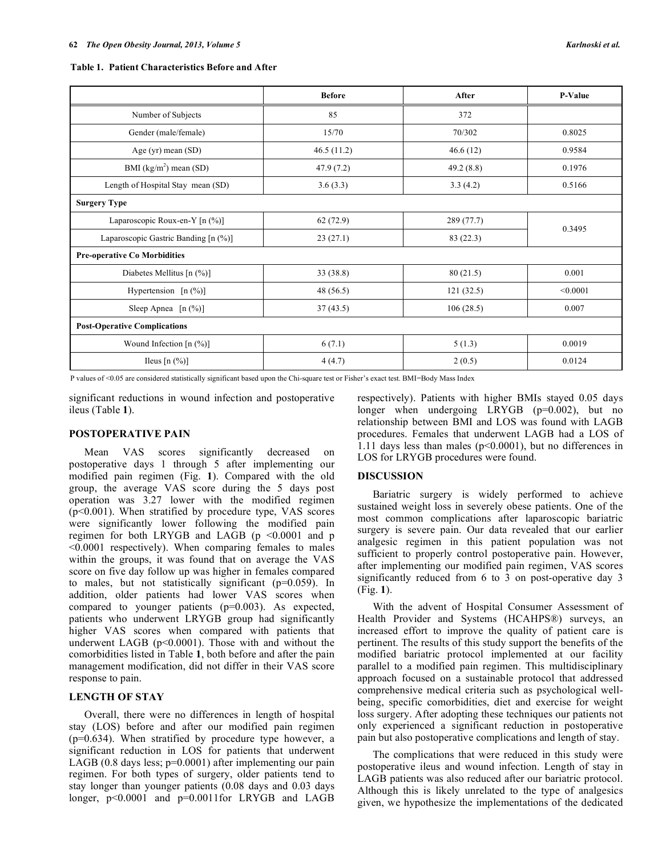|                                      | <b>Before</b> | After      | P-Value  |
|--------------------------------------|---------------|------------|----------|
| Number of Subjects                   | 85            | 372        |          |
| Gender (male/female)                 | 15/70         | 70/302     | 0.8025   |
| Age (yr) mean $(SD)$                 | 46.5(11.2)    | 46.6(12)   | 0.9584   |
| BMI $(kg/m2)$ mean (SD)              | 47.9(7.2)     | 49.2(8.8)  | 0.1976   |
| Length of Hospital Stay mean (SD)    | 3.6(3.3)      | 3.3(4.2)   | 0.5166   |
| <b>Surgery Type</b>                  |               |            |          |
| Laparoscopic Roux-en-Y [n (%)]       | 62(72.9)      | 289 (77.7) | 0.3495   |
| Laparoscopic Gastric Banding [n (%)] | 23(27.1)      | 83 (22.3)  |          |
| <b>Pre-operative Co Morbidities</b>  |               |            |          |
| Diabetes Mellitus [n $(\%)$ ]        | 33 (38.8)     | 80(21.5)   | 0.001    |
| Hypertension $[n (\%)]$              | 48 (56.5)     | 121(32.5)  | < 0.0001 |
| Sleep Apnea $[n (\%)]$               | 37(43.5)      | 106(28.5)  | 0.007    |
| <b>Post-Operative Complications</b>  |               |            |          |
| Wound Infection $[n (%)]$            | 6(7.1)        | 5(1.3)     | 0.0019   |
| Ileus $[n (%)]$                      | 4(4.7)        | 2(0.5)     | 0.0124   |

P values of <0.05 are considered statistically significant based upon the Chi-square test or Fisher's exact test. BMI=Body Mass Index

significant reductions in wound infection and postoperative ileus (Table **1**).

# **POSTOPERATIVE PAIN**

Mean VAS scores significantly decreased on postoperative days 1 through 5 after implementing our modified pain regimen (Fig. **1**). Compared with the old group, the average VAS score during the 5 days post operation was 3.27 lower with the modified regimen (p<0.001). When stratified by procedure type, VAS scores were significantly lower following the modified pain regimen for both LRYGB and LAGB (p <0.0001 and p <0.0001 respectively). When comparing females to males within the groups, it was found that on average the VAS score on five day follow up was higher in females compared to males, but not statistically significant (p=0.059). In addition, older patients had lower VAS scores when compared to younger patients (p=0.003). As expected, patients who underwent LRYGB group had significantly higher VAS scores when compared with patients that underwent LAGB (p<0.0001). Those with and without the comorbidities listed in Table **1**, both before and after the pain management modification, did not differ in their VAS score response to pain.

## **LENGTH OF STAY**

Overall, there were no differences in length of hospital stay (LOS) before and after our modified pain regimen  $(p=0.634)$ . When stratified by procedure type however, a significant reduction in LOS for patients that underwent LAGB (0.8 days less; p=0.0001) after implementing our pain regimen. For both types of surgery, older patients tend to stay longer than younger patients (0.08 days and 0.03 days longer,  $p<0.0001$  and  $p=0.0011$  for LRYGB and LAGB

respectively). Patients with higher BMIs stayed 0.05 days longer when undergoing LRYGB (p=0.002), but no relationship between BMI and LOS was found with LAGB procedures. Females that underwent LAGB had a LOS of 1.11 days less than males (p<0.0001), but no differences in LOS for LRYGB procedures were found.

#### **DISCUSSION**

Bariatric surgery is widely performed to achieve sustained weight loss in severely obese patients. One of the most common complications after laparoscopic bariatric surgery is severe pain. Our data revealed that our earlier analgesic regimen in this patient population was not sufficient to properly control postoperative pain. However, after implementing our modified pain regimen, VAS scores significantly reduced from 6 to 3 on post-operative day 3 (Fig. **1**).

With the advent of Hospital Consumer Assessment of Health Provider and Systems (HCAHPS®) surveys, an increased effort to improve the quality of patient care is pertinent. The results of this study support the benefits of the modified bariatric protocol implemented at our facility parallel to a modified pain regimen. This multidisciplinary approach focused on a sustainable protocol that addressed comprehensive medical criteria such as psychological wellbeing, specific comorbidities, diet and exercise for weight loss surgery. After adopting these techniques our patients not only experienced a significant reduction in postoperative pain but also postoperative complications and length of stay.

The complications that were reduced in this study were postoperative ileus and wound infection. Length of stay in LAGB patients was also reduced after our bariatric protocol. Although this is likely unrelated to the type of analgesics given, we hypothesize the implementations of the dedicated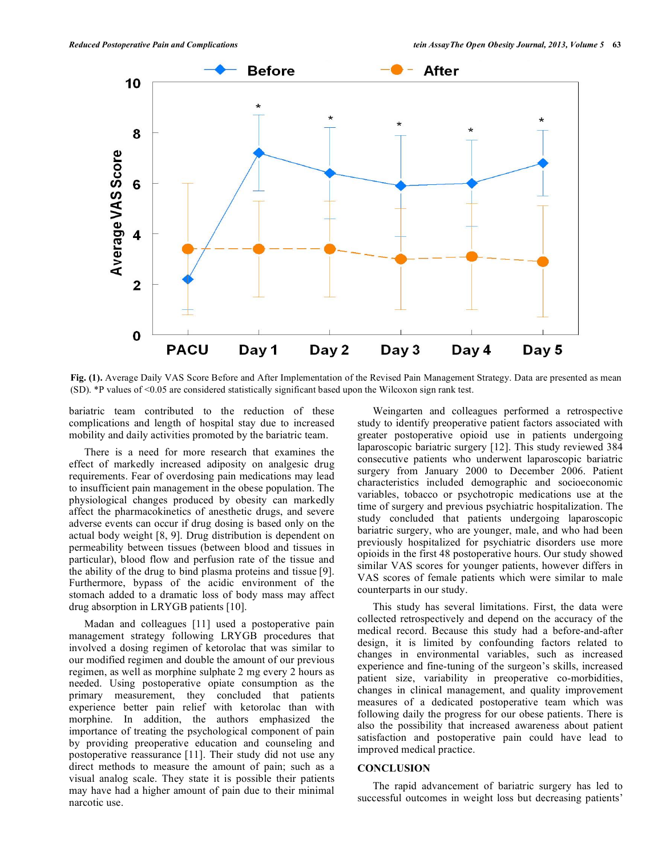

**Fig. (1).** Average Daily VAS Score Before and After Implementation of the Revised Pain Management Strategy. Data are presented as mean (SD). \*P values of <0.05 are considered statistically significant based upon the Wilcoxon sign rank test.

bariatric team contributed to the reduction of these complications and length of hospital stay due to increased mobility and daily activities promoted by the bariatric team.

There is a need for more research that examines the effect of markedly increased adiposity on analgesic drug requirements. Fear of overdosing pain medications may lead to insufficient pain management in the obese population. The physiological changes produced by obesity can markedly affect the pharmacokinetics of anesthetic drugs, and severe adverse events can occur if drug dosing is based only on the actual body weight [8, 9]. Drug distribution is dependent on permeability between tissues (between blood and tissues in particular), blood flow and perfusion rate of the tissue and the ability of the drug to bind plasma proteins and tissue [9]. Furthermore, bypass of the acidic environment of the stomach added to a dramatic loss of body mass may affect drug absorption in LRYGB patients [10].

Madan and colleagues [11] used a postoperative pain management strategy following LRYGB procedures that involved a dosing regimen of ketorolac that was similar to our modified regimen and double the amount of our previous regimen, as well as morphine sulphate 2 mg every 2 hours as needed. Using postoperative opiate consumption as the primary measurement, they concluded that patients experience better pain relief with ketorolac than with morphine. In addition, the authors emphasized the importance of treating the psychological component of pain by providing preoperative education and counseling and postoperative reassurance [11]. Their study did not use any direct methods to measure the amount of pain; such as a visual analog scale. They state it is possible their patients may have had a higher amount of pain due to their minimal narcotic use.

Weingarten and colleagues performed a retrospective study to identify preoperative patient factors associated with greater postoperative opioid use in patients undergoing laparoscopic bariatric surgery [12]. This study reviewed 384 consecutive patients who underwent laparoscopic bariatric surgery from January 2000 to December 2006. Patient characteristics included demographic and socioeconomic variables, tobacco or psychotropic medications use at the time of surgery and previous psychiatric hospitalization. The study concluded that patients undergoing laparoscopic bariatric surgery, who are younger, male, and who had been previously hospitalized for psychiatric disorders use more opioids in the first 48 postoperative hours. Our study showed similar VAS scores for younger patients, however differs in VAS scores of female patients which were similar to male counterparts in our study.

This study has several limitations. First, the data were collected retrospectively and depend on the accuracy of the medical record. Because this study had a before-and-after design, it is limited by confounding factors related to changes in environmental variables, such as increased experience and fine-tuning of the surgeon's skills, increased patient size, variability in preoperative co-morbidities, changes in clinical management, and quality improvement measures of a dedicated postoperative team which was following daily the progress for our obese patients. There is also the possibility that increased awareness about patient satisfaction and postoperative pain could have lead to improved medical practice.

## **CONCLUSION**

The rapid advancement of bariatric surgery has led to successful outcomes in weight loss but decreasing patients'